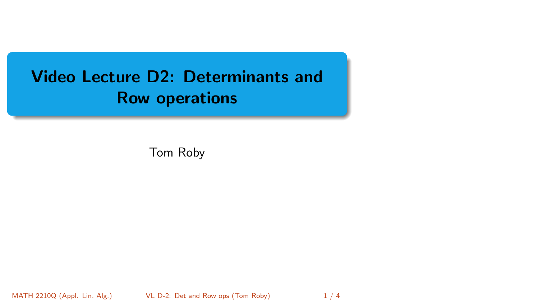# <span id="page-0-0"></span>Video Lecture D2: Determinants and Row operations

Tom Roby

MATH 2210Q (Appl. Lin. Alg.) [VL D-2: Det and Row ops](#page-3-0) (Tom Roby) 1/4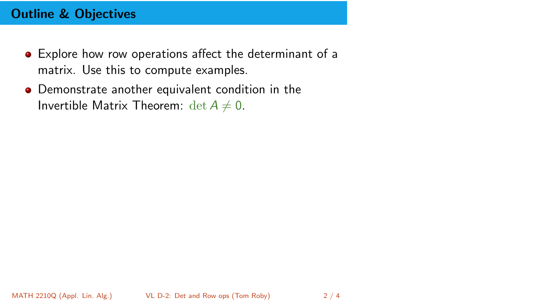## Outline & Objectives

- Explore how row operations affect the determinant of a matrix. Use this to compute examples.
- Demonstrate another equivalent condition in the Invertible Matrix Theorem:  $\det A \neq 0$ .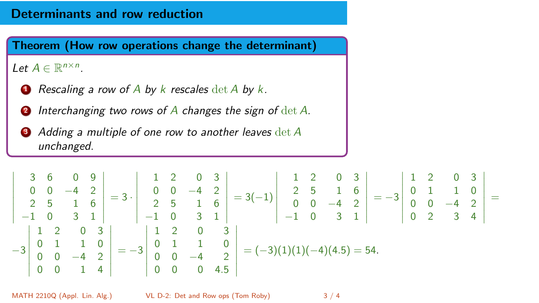#### Determinants and row reduction

## Let  $A \in \mathbb{R}^{n \times n}$ .

- **1** Rescaling a row of A by k rescales  $\det A$  by k.
- **2** Interchanging two rows of  $\overline{A}$  changes the sign of  $\det A$ .
- <sup>3</sup> Adding a multiple of one row to another leaves det A unchanged.

$$
\begin{vmatrix}\n3 & 6 & 0 & 9 \\
0 & 0 & -4 & 2 \\
2 & 5 & 1 & 6 \\
-1 & 0 & 3 & 1\n\end{vmatrix} = 3 \cdot \begin{vmatrix}\n1 & 2 & 0 & 3 \\
0 & 0 & -4 & 2 \\
2 & 5 & 1 & 6 \\
-1 & 0 & 3 & 1\n\end{vmatrix} = 3(-1) \begin{vmatrix}\n1 & 2 & 0 & 3 \\
2 & 5 & 1 & 6 \\
0 & 0 & -4 & 2 \\
-1 & 0 & 3 & 1\n\end{vmatrix} = -3 \begin{vmatrix}\n1 & 2 & 0 & 3 \\
0 & 1 & 1 & 0 \\
0 & 2 & 3 & 4\n\end{vmatrix} = -3 \begin{vmatrix}\n1 & 2 & 0 & 3 \\
0 & 1 & 1 & 0 \\
0 & 2 & 3 & 4\n\end{vmatrix}
$$

MATH 2210Q (Appl. Lin. Alg.) [VL D-2: Det and Row ops](#page-0-0) (Tom Roby) 3 / 4